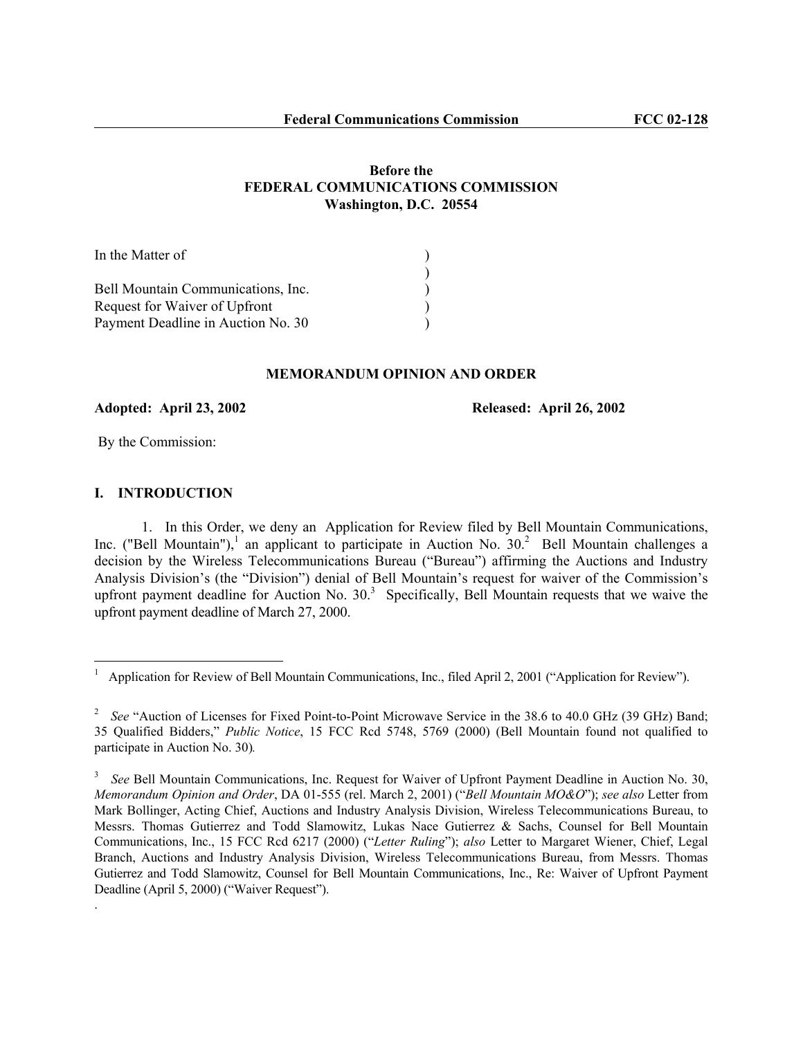# **Before the FEDERAL COMMUNICATIONS COMMISSION Washington, D.C. 20554**

| In the Matter of                   |  |
|------------------------------------|--|
|                                    |  |
| Bell Mountain Communications, Inc. |  |
| Request for Waiver of Upfront      |  |
| Payment Deadline in Auction No. 30 |  |

### **MEMORANDUM OPINION AND ORDER**

# **Adopted: April 23, 2002 Released: April 26, 2002**

By the Commission:

# **I. INTRODUCTION**

 $\overline{a}$ 

.

1. In this Order, we deny an Application for Review filed by Bell Mountain Communications, Inc. ("Bell Mountain"),<sup>1</sup> an applicant to participate in Auction No. 30.<sup>2</sup> Bell Mountain challenges a decision by the Wireless Telecommunications Bureau ("Bureau") affirming the Auctions and Industry Analysis Division's (the "Division") denial of Bell Mountain's request for waiver of the Commission's upfront payment deadline for Auction No.  $30<sup>3</sup>$  Specifically, Bell Mountain requests that we waive the upfront payment deadline of March 27, 2000.

<sup>1</sup> Application for Review of Bell Mountain Communications, Inc., filed April 2, 2001 ("Application for Review").

<sup>&</sup>lt;sup>2</sup> See "Auction of Licenses for Fixed Point-to-Point Microwave Service in the 38.6 to 40.0 GHz (39 GHz) Band; 35 Qualified Bidders," *Public Notice*, 15 FCC Rcd 5748, 5769 (2000) (Bell Mountain found not qualified to participate in Auction No. 30)*.* 

<sup>&</sup>lt;sup>3</sup> See Bell Mountain Communications, Inc. Request for Waiver of Upfront Payment Deadline in Auction No. 30, *Memorandum Opinion and Order*, DA 01-555 (rel. March 2, 2001) ("*Bell Mountain MO&O*"); *see also* Letter from Mark Bollinger, Acting Chief, Auctions and Industry Analysis Division, Wireless Telecommunications Bureau, to Messrs. Thomas Gutierrez and Todd Slamowitz, Lukas Nace Gutierrez & Sachs, Counsel for Bell Mountain Communications, Inc., 15 FCC Rcd 6217 (2000) ("*Letter Ruling*"); *also* Letter to Margaret Wiener, Chief, Legal Branch, Auctions and Industry Analysis Division, Wireless Telecommunications Bureau, from Messrs. Thomas Gutierrez and Todd Slamowitz, Counsel for Bell Mountain Communications, Inc., Re: Waiver of Upfront Payment Deadline (April 5, 2000) ("Waiver Request").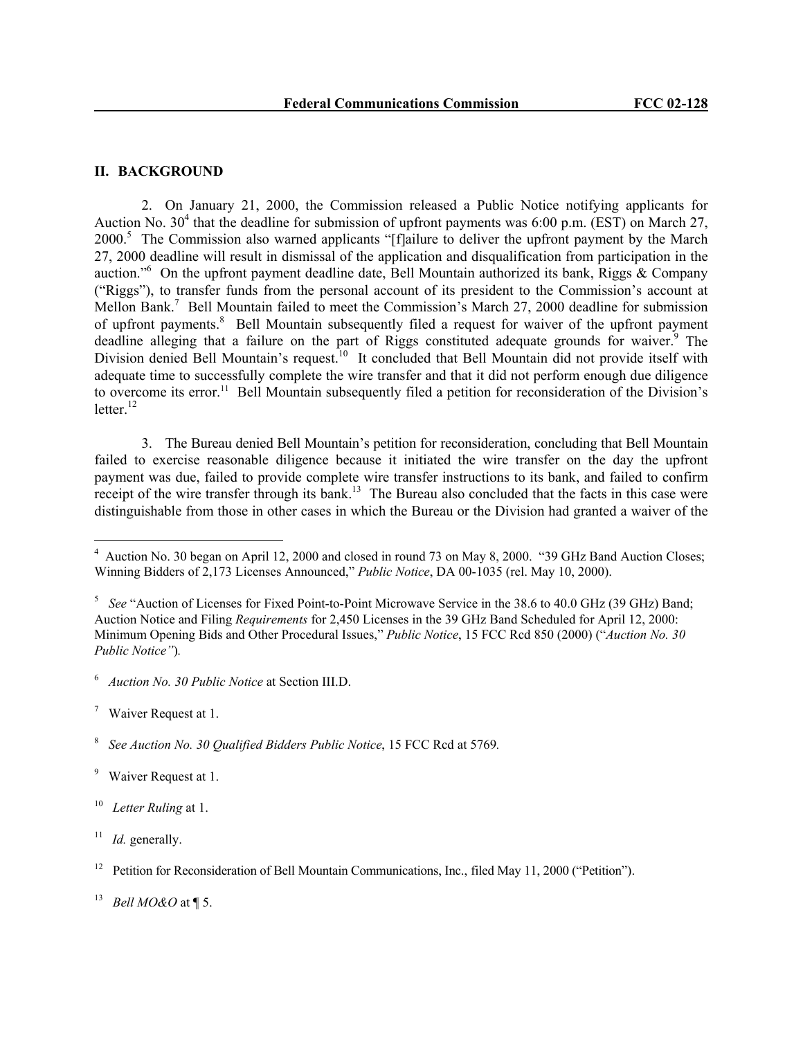#### **II. BACKGROUND**

2. On January 21, 2000, the Commission released a Public Notice notifying applicants for Auction No.  $30^4$  that the deadline for submission of upfront payments was 6:00 p.m. (EST) on March 27, 2000.<sup>5</sup> The Commission also warned applicants "[f]ailure to deliver the upfront payment by the March 27, 2000 deadline will result in dismissal of the application and disqualification from participation in the auction."<sup>6</sup> On the upfront payment deadline date, Bell Mountain authorized its bank, Riggs  $\&$  Company ("Riggs"), to transfer funds from the personal account of its president to the Commission's account at Mellon Bank.<sup>7</sup> Bell Mountain failed to meet the Commission's March 27, 2000 deadline for submission of upfront payments.<sup>8</sup> Bell Mountain subsequently filed a request for waiver of the upfront payment deadline alleging that a failure on the part of Riggs constituted adequate grounds for waiver.<sup>9</sup> The Division denied Bell Mountain's request.<sup>10</sup> It concluded that Bell Mountain did not provide itself with adequate time to successfully complete the wire transfer and that it did not perform enough due diligence to overcome its error.<sup>11</sup> Bell Mountain subsequently filed a petition for reconsideration of the Division's letter $12$ 

3. The Bureau denied Bell Mountain's petition for reconsideration, concluding that Bell Mountain failed to exercise reasonable diligence because it initiated the wire transfer on the day the upfront payment was due, failed to provide complete wire transfer instructions to its bank, and failed to confirm receipt of the wire transfer through its bank.<sup>13</sup> The Bureau also concluded that the facts in this case were distinguishable from those in other cases in which the Bureau or the Division had granted a waiver of the

6  *Auction No. 30 Public Notice* at Section III.D.

 $\overline{a}$ 

<sup>&</sup>lt;sup>4</sup> Auction No. 30 began on April 12, 2000 and closed in round 73 on May 8, 2000. "39 GHz Band Auction Closes; Winning Bidders of 2,173 Licenses Announced," *Public Notice*, DA 00-1035 (rel. May 10, 2000).

<sup>&</sup>lt;sup>5</sup> See "Auction of Licenses for Fixed Point-to-Point Microwave Service in the 38.6 to 40.0 GHz (39 GHz) Band; Auction Notice and Filing *Requirements* for 2,450 Licenses in the 39 GHz Band Scheduled for April 12, 2000: Minimum Opening Bids and Other Procedural Issues," *Public Notice*, 15 FCC Rcd 850 (2000) ("*Auction No. 30 Public Notice"*)*.* 

<sup>&</sup>lt;sup>7</sup> Waiver Request at 1.

<sup>8</sup>  *See Auction No. 30 Qualified Bidders Public Notice*, 15 FCC Rcd at 5769*.*

<sup>&</sup>lt;sup>9</sup> Waiver Request at 1.

<sup>10</sup> *Letter Ruling* at 1.

 $11$  *Id.* generally.

<sup>12</sup> Petition for Reconsideration of Bell Mountain Communications, Inc., filed May 11, 2000 ("Petition").

<sup>13</sup> *Bell MO&O* at ¶ 5.